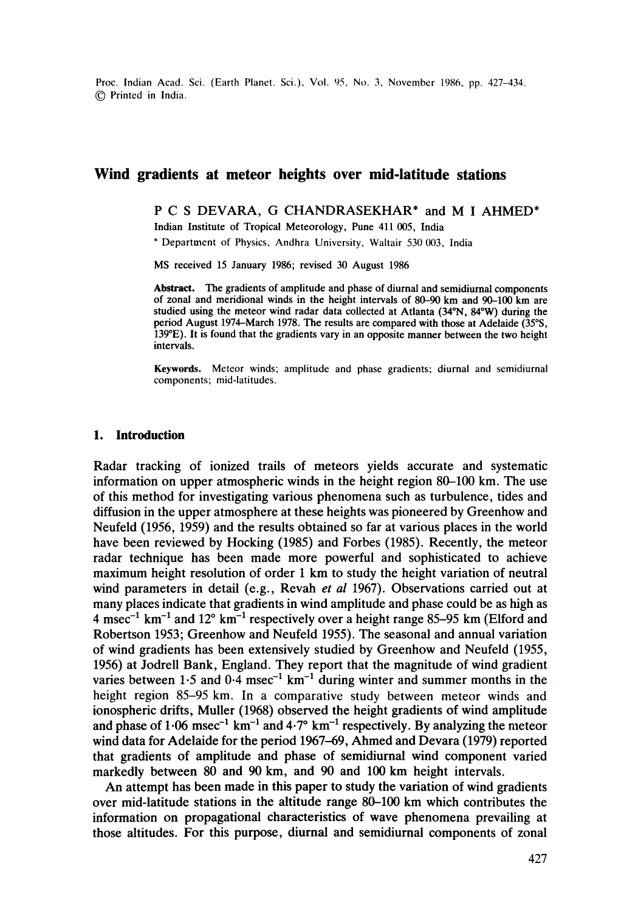Proc. Indian Acad. Sci. (Earth Planet. Sci.), Vol. 95, No. 3, November 1986, pp. 427-434. 9 Printed in India.

## **Wind gradients at meteor heights over mid-latitude stations**

## P C S DEVARA, G CHANDRASEKHAR\* and M I AHMED\*

Indian Institute of Tropical Meteorology, Pune 411 005, India

\* Department of Physics, Andhra University, Waltair 530 003, India

MS received 15 January 1986; revised 30 August 1986

**Abstract.** The gradients of amplitude and phase of diurnal and semidiurnal components of zonal and meridional winds in the height intervals of 80-90 km and 90-100 km are studied using the meteor wind radar data collected at Atlanta (34°N, 84°W) during the period August 1974–March 1978. The results are compared with those at Adelaide (35°S. 139°E). It is found that the gradients vary in an opposite manner between the two height intervals.

**Keywords.** Meteor winds; amplitude and phase gradients; diurnal and semidiurnal components; mid-latitudes.

## **1. Introduction**

Radar tracking of ionized trails of meteors yields accurate and systematic information on upper atmospheric winds in the height region 80-100 km. The use of this method for investigating various phenomena such as turbulence, tides and diffusion in the upper atmosphere at these heights was pioneered by Greenhow and Neufeld (1956, 1959) and the results obtained so far at various places in the world have been reviewed by Hocking (1985) and Forbes (1985). Recently, the meteor radar technique has been made more powerful and sophisticated to achieve maximum height resolution of order 1 km to study the height variation of neutral wind parameters in detail (e.g., Revah *et al* 1967). Observations carried out at many places indicate that gradients in wind amplitude and phase could be as high as 4 msec<sup>-1</sup> km<sup>-1</sup> and 12 $^{\circ}$  km<sup>-1</sup> respectively over a height range 85–95 km (Elford and Robertson 1953; Greenhow and Neufeld 1955). The seasonal and annual variation of wind gradients has been extensively studied by Greenhow and Neufeld (1955, 1956) at Jodrell Bank, England. They report that the magnitude of wind gradient varies between  $1.5$  and  $0.4$  msec<sup>-1</sup> km<sup>-1</sup> during winter and summer months in the height region 85-95 km. In a comparative study between meteor winds and ionospheric drifts, Muller (1968) observed the height gradients of wind amplitude and phase of 1.06 msec<sup>-1</sup> km<sup>-1</sup> and  $4.7^{\circ}$  km<sup>-1</sup> respectively. By analyzing the meteor wind data for Adelaide for the period 1967-69, Ahmed and Devara (1979) reported that gradients of amplitude and phase of semidiurnal wind component varied markedly between 80 and 90 km, and 90 and 100 km height intervals.

An attempt has been made in this paper to study the variation of wind gradients over mid-latitude stations in the altitude range 80-100 km which contributes the information on propagational characteristics of wave phenomena prevailing at those altitudes. For this purpose, diurnal and semidiurnal components of zonal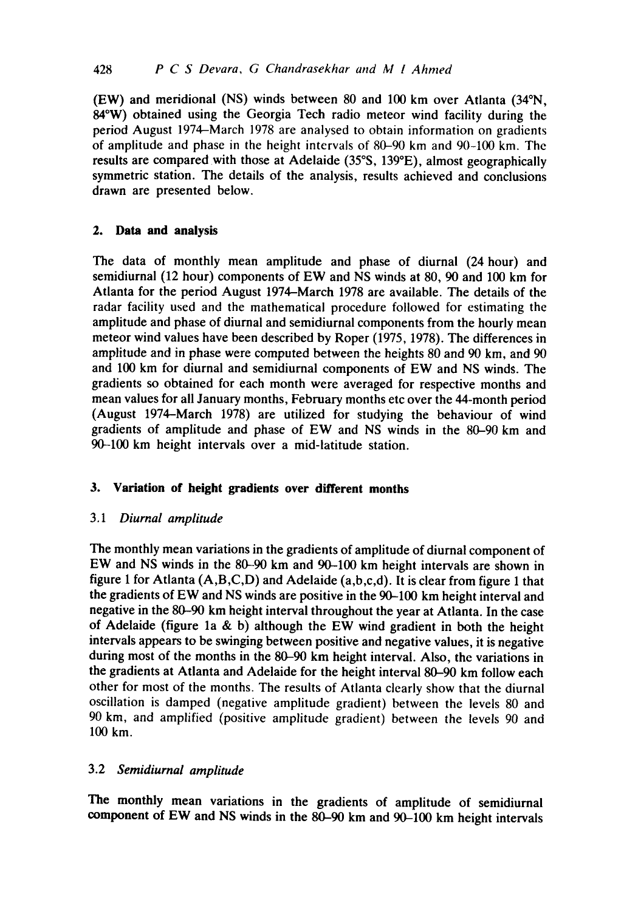(EW) and meridional (NS) winds between 80 and 100 km over Atlanta (34~ 84°W) obtained using the Georgia Tech radio meteor wind facility during the period August 1974-March 1978 are analysed to obtain information on gradients of amplitude and phase in the height intervals of 80-90 km and 90-100 km. The results are compared with those at Adelaide (35°S, 139°E), almost geographically symmetric station. The details of the analysis, results achieved and conclusions drawn are presented below.

# **2. Data and analysis**

The data of monthly mean amplitude and phase of diurnal (24 hour) and semidiurnal (12 hour) components of EW and NS winds at 80, 90 and 100 km for Atlanta for the period August 1974-March 1978 are available. The details of the radar facility used and the mathematical procedure followed for estimating the amplitude and phase of diurnal and semidiurnal components from the hourly mean meteor wind values have been described by Roper (1975, 1978). The differences in amplitude and in phase were computed between the heights 80 and 90 km, and 90 and 100 km for diurnal and semidiurnal components of EW and NS winds. The gradients so obtained for each month were averaged for respective months and mean values for all January months, February months etc over the 44-month period (August 1974-March 1978) are utilized for studying the behaviour of wind gradients of amplitude and phase of EW and NS winds in the 80-90 km and 90-100 km height intervals over a mid-latitude station.

# **3. Variation of height gradients over different months**

# *3.1 Diurnal amplitude*

The monthly mean variations in the gradients of amplitude of diurnal component of EW and NS winds in the 80-90 km and 90-100 km height intervals are shown in figure 1 for Atlanta (A,B,C,D) and Adelaide (a,b,c,d). It is clear from figure 1 that the gradients of EW and NS winds are positive in the 90-100 km height interval and negative in the 80-90 km height interval throughout the year at Atlanta. In the case of Adelaide (figure 1a & b) although the EW wind gradient in both the height intervals appears to be swinging between positive and negative values, it is negative during most of the months in the 80-90 km height interval. Also, the variations in the gradients at Atlanta and Adelaide for the height interval 80-90 km follow each other for most of the months. The results of Atlanta clearly show that the diurnal oscillation is damped (negative amplitude gradient) between the levels 80 and 90 km, and amplified (positive amplitude gradient) between the levels 90 and 100 km.

# 3.2 *Semidiurnal amplitude*

The monthly mean variations in the gradients of amplitude of semidiurnal component of EW and NS winds in the 80-90 km and 90-100 km height intervals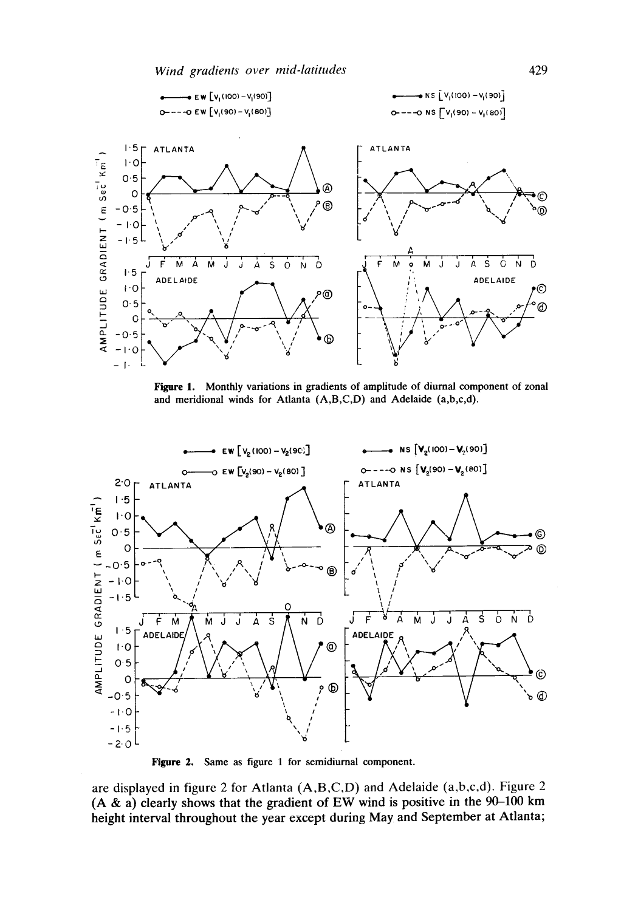

Figure 1. Monthly variations in gradients of amplitude of diurnal component of zonal and meridional winds for Atlanta (A,B,C,D) and Adelaide (a,b,c,d).



Figure 2. Same as figure 1 for semidiurnal component.

are displayed in figure 2 for Atlanta (A,B,C,D) and Adelaide (a,b,c,d). Figure 2 (A & a) clearly shows that the gradient of EW wind is positive in the  $90-100$  km height interval throughout the year except during May and September at Atlanta;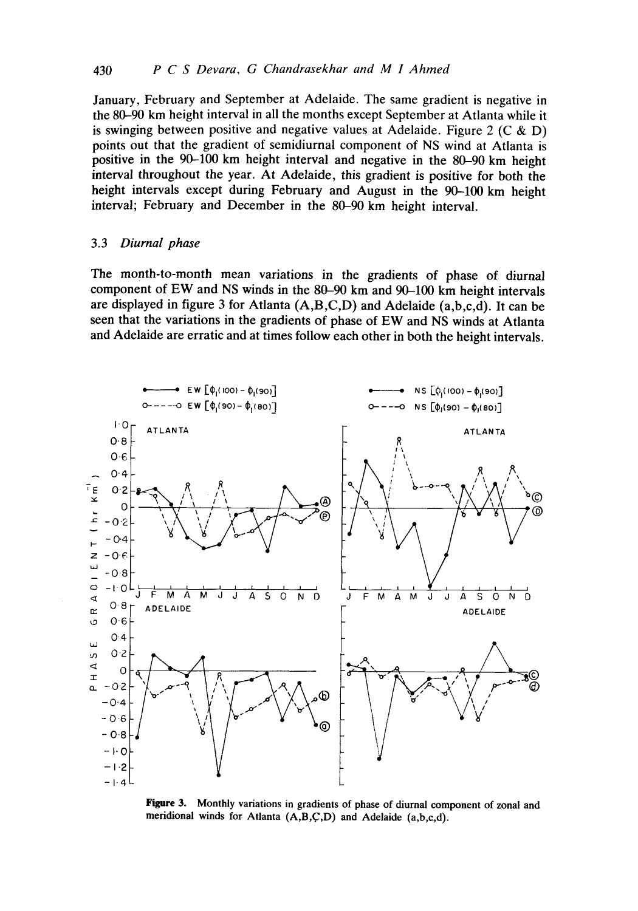January, February and September at Adelaide. The same gradient is negative in the 80-90 km height interval in all the months except September at Atlanta while it is swinging between positive and negative values at Adelaide. Figure 2 (C & D) points out that the gradient of semidiurnal component of NS wind at Atlanta is positive in the 90-100 km height interval and negative in the 80-90 km height interval throughout the year. At Adelaide, this gradient is positive for both the height intervals except during February and August in the 90-100 km height interval; February and December in the 80-90 km height interval.

### 3.3 *Diurnal phase*

The month-to-month mean variations in the gradients of phase of diurnal component of EW and NS winds in the 80-90 km and 90-100 km height intervals are displayed in figure 3 for Atlanta (A,B,C,D) and Adelaide (a,b,c,d). It can be seen that the variations in the gradients of phase of EW and NS winds at Atlanta and Adelaide are erratic and at times follow each other in both the height intervals.



**Figure** 3. Monthly variations in gradients of phase of diurnal component of zonal and meridional winds for Atlanta (A,B,C,D) and Adelaide (a,b,c.,d).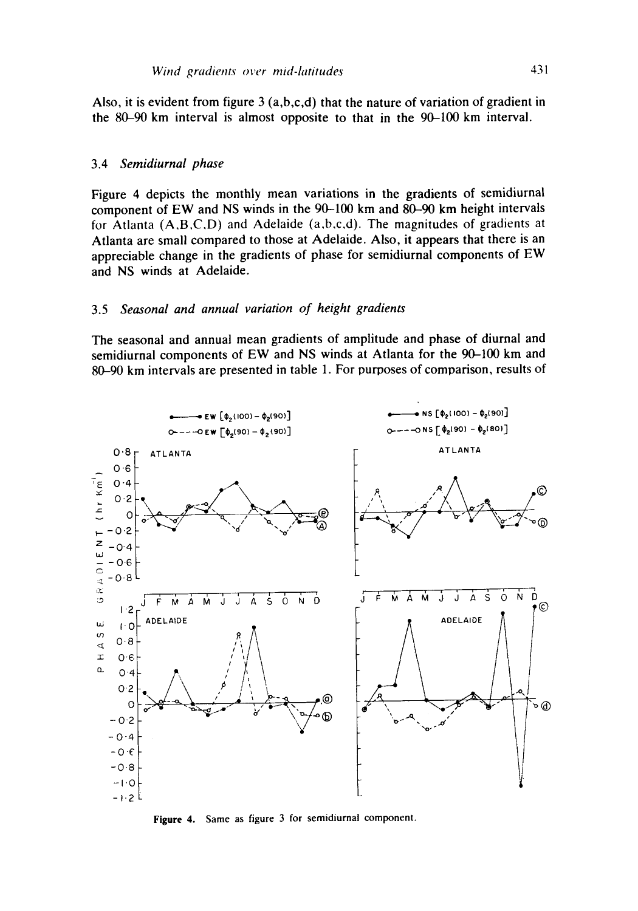Also, it is evident from figure  $3(a,b,c,d)$  that the nature of variation of gradient in the 80-90 km interval is almost opposite to that in the 90-100 km interval.

#### 3.4 *Semidiurnal phase*

Figure 4 depicts the monthly mean variations in the gradients of semidiurnal component of EW and NS winds in the 90-100 km and 80-90 km height intervals for Atlanta (A,B,C,D) and Adelaide (a,b,c,d). The magnitudes of gradients at Atlanta are small compared to those at Adelaide. Also, it appears that there is an appreciable change in the gradients of phase for semidiurnal components of EW and NS winds at Adelaide.

# 3.5 *Seasonal and annual variation of height gradients*

The seasonal and annual mean gradients of amplitude and phase of diurnal and semidiurnal components of EW and NS winds at Atlanta for the 90-100 km and 80-90 km intervals are presented in table 1. For purposes of comparison, results of



Figure 4. Same as figure 3 for semidiurnal component.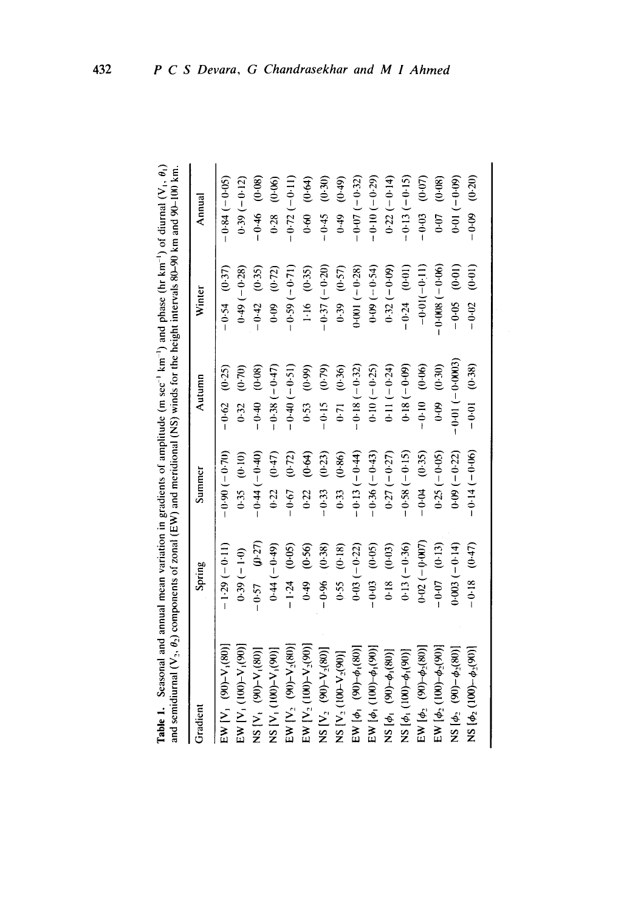| and semidiurnal $(V_2, \theta_2)$ components of zonal (EW) and meridional (NS) winds for the height intervals 80-90 km and 90-100 km. |                  |                 |                      |                 |                    |
|---------------------------------------------------------------------------------------------------------------------------------------|------------------|-----------------|----------------------|-----------------|--------------------|
| Gradient                                                                                                                              | Spring           | Summer          | Autumn               | Winter          | Annual             |
| EW [V <sub>1</sub> (90)-V <sub>1</sub> (80)]                                                                                          | $-1.29(-0.11)$   | $(0.01-0.90)$   | $-0.62$ $(0.25)$     | $-0.54$ (0.37)  | $-0.84(-0.05)$     |
| $EW$ [V <sub>1</sub> (100)–V <sub>1</sub> (90)]                                                                                       | $(0.39(-1.0)$    | $0.35$ $(0.10)$ | 0.32 (0.70)          | $0.49(-0.28)$   | $0.39(-0.12)$      |
| NS [V <sub>1</sub> (90)-V <sub>1</sub> (80)]                                                                                          | $(5.4)$ $(0.27)$ | $-0.44(-0.40)$  | $-0.40$ $(0.08)$     | $-0.42$ (0.35)  | $-0.46$ (0.08)     |
| NS [V <sub>1</sub> (100)-V <sub>1</sub> (90)]                                                                                         | $0.44 (-0.49)$   | (0.22) (0.47)   | $-0.38(-0.47)$       | $0.09$ $(0.72)$ | $0.28$ $(0.06)$    |
| EW $[V_2 (90)-V_2(80)]$                                                                                                               | $-1.24$ (0.05)   | $-0.67$ (0.72)  | $-0.40(-0.51)$       | $-0.59(-0.71)$  | $-0.72(-0.11)$     |
| EW [V <sub>2</sub> (100)-V <sub>2</sub> (90)]                                                                                         | (0.56)<br>0.49   | (0.64)<br>0.22  | $(0.53 \quad (0.99)$ | $1.16$ (0.35)   | $0.60$ $(0.64)$    |
| $NS [V_2 (90)-V_2(80)]$                                                                                                               | $-0.96$ $(0.38)$ | $-0.33$ (0.23)  | $-0.15$ $(0.79)$     | $-0.37(-0.20)$  | $-0.45$ (0.30)     |
| NS [V <sub>2</sub> (100-V <sub>2</sub> (90)]                                                                                          | (0.18)           | $0.33$ $(0.86)$ | $(0.71 \t (0.36)$    | $0.39$ $(0.57)$ | $(6+0)$ $(6+0)$    |
| $EW$ [ $\phi_1$ (90)- $\phi_1$ (80)]                                                                                                  | $0.03 (-0.22)$   | $-0.13(-0.44)$  | $-0.18(-0.32)$       | $0.001(-0.28)$  | $-0.07(-0.32)$     |
| $EW$ [ $\phi_1$ (100)- $\phi_1$ (90)]                                                                                                 | $-0.03$ $(0.05)$ | $-0.36(-0.43)$  | $0.10(-0.25)$        | $0.09(-0.54)$   | $-0.10(-0.29)$     |
| NS $\phi_1$ (90)- $\phi_1$ (80)]                                                                                                      | $0.18$ $(0.03)$  | $0.27(-0.27)$   | $0.11 (-0.24)$       | $0.32(-0.09)$   | $0.22(-0.14)$      |
| $NS [\phi_1(100)-\phi_1(90)]$                                                                                                         | $0.13(-0.36)$    | $-0.58(-0.15)$  | $0.18 (-0.09)$       | $-0.24$ (0.01)  | $-0.13(-0.15)$     |
| EW $[\phi_2 \ (90) - \phi_2(80)]$                                                                                                     | $0.02(-0.007)$   | $-0.04$ (0.35)  | $-0.10$ $(0.06)$     | $-0.01(-0.11)$  | $-0.03$ (0.07)     |
| $EW$ [ $\phi_2$ (100)- $\phi_2$ (90)]                                                                                                 | $-0.07$ (0.13)   | $0.25(-0.05)$   | $(0.09)$ $(0.30)$    | $-0.008(-0.06)$ | $(90.07)$ $(0.08)$ |
| $NS [\phi_2 (90) - \phi_2 (80)]$                                                                                                      | $0.003(-0.14)$   | $0.09(-0.22)$   | $-0.01(-0.0003)$     | $-0.05$ (0.01)  | $0.01(-0.09)$      |
| $NS [\phi_2(100)-\phi_2(90)]$                                                                                                         | $-0.18$ $(0.47)$ | $-0.14(-0.06)$  | $-0.01$ (0.38)       | $-0.02$ (0.01)  | $(-0.09$ $(0.20)$  |

Table 1. Seasonal and annual mean variation in gradients of amplitude (m sec<sup>-1</sup> km<sup>-1</sup>) and phase (hr km<sup>-1</sup>) of diurnal (V<sub>1</sub>,  $\theta_1$ )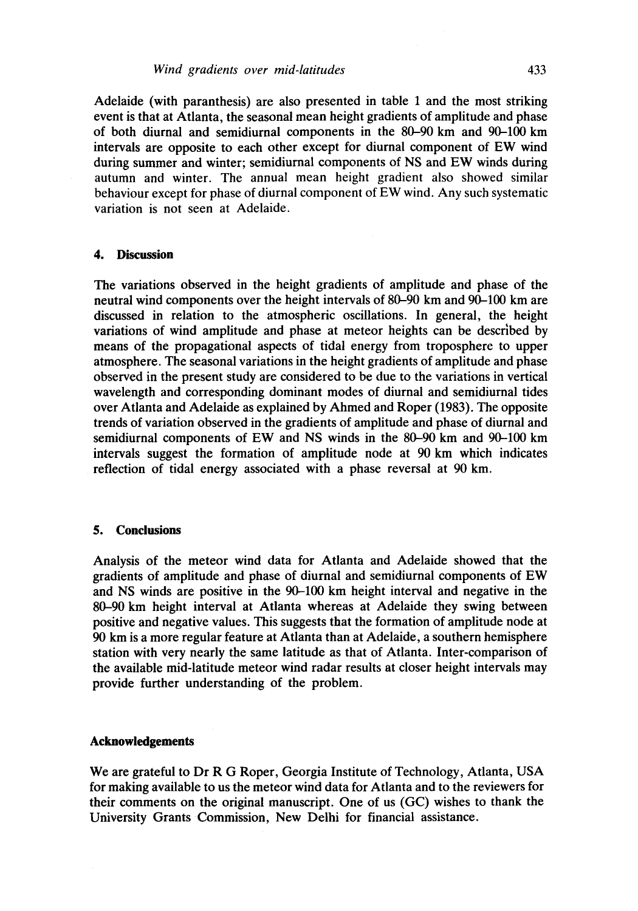Adelaide (with paranthesis) are also presented in table 1 and the most striking event is that at Atlanta, the seasonal mean height gradients of amplitude and phase of both diurnal and semidiurnal components in the 80-90 km and 90-100 km intervals are opposite to each other except for diurnal component of EW wind during summer and winter; semidiurnal components of NS and EW winds during autumn and winter. The annual mean height gradient also showed similar behaviour except for phase of diurnal component of EW wind. Any such systematic variation is not seen at Adelaide.

## **4. Discussion**

The variations observed in the height gradients of amplitude and phase of the neutral wind components over the height intervals of 80-90 km and 90-100 km are discussed in relation to the atmospheric oscillations. In general, the height variations of wind amplitude and phase at meteor heights can be described by means of the propagational aspects of tidal energy from troposphere to upper atmosphere. The seasonal variations in the height gradients of amplitude and phase observed in the present study are considered to be due to the variations in vertical wavelength and corresponding dominant modes of diurnal and semidiurnal tides over Atlanta and Adelaide as explained by Ahmed and Roper (1983). The opposite trends of variation observed in the gradients of amplitude and phase of diurnal and semidiurnal components of EW and NS winds in the 80-90 km and 90-100 km intervals suggest the formation of amplitude node at 90 km which indicates reflection of tidal energy associated with a phase reversal at 90 km.

### **5. Conclusions**

Analysis of the meteor wind data for Atlanta and Adelaide showed that the gradients of amplitude and phase of diurnal and semidiurnal components of EW and NS winds are positive in the 90-100 km height interval and negative in the 80-90 km height interval at Atlanta whereas at Adelaide they swing between positive and negative values. This suggests that the formation of amplitude node at 90 km is a more regular feature at Atlanta than at Adelaide, a southern hemisphere station with very nearly the same latitude as that of Atlanta. Inter-comparison of the available mid-latitude meteor wind radar results at closer height intervals may provide further understanding of the problem.

### **Acknowledgements**

We are grateful to Dr R G Roper, Georgia Institute of Technology, Atlanta, USA for making available to us the meteor wind data for Atlanta and to the reviewers for their comments on the original manuscript. One of us (GC) wishes to thank the University Grants Commission, New Delhi for financial assistance.